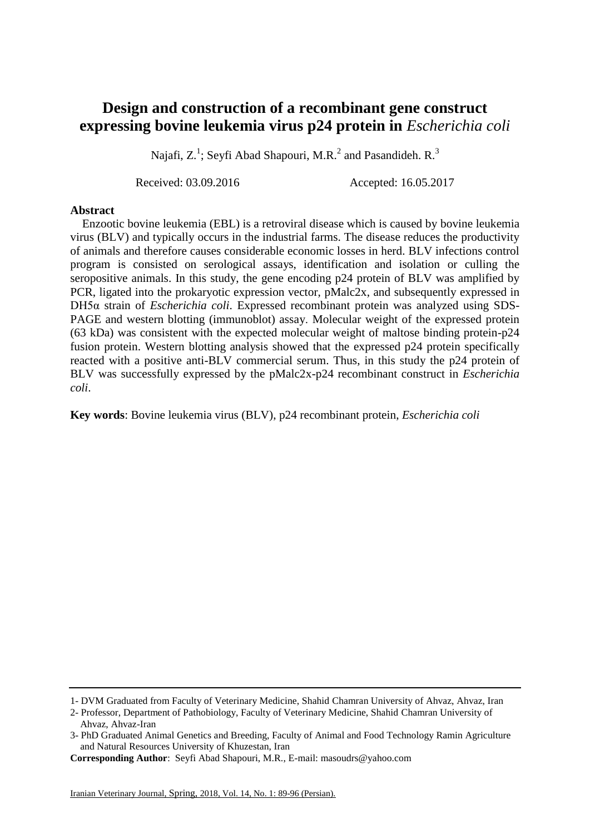## **Design and construction of a recombinant gene construct expressing bovine leukemia virus p24 protein in** *Escherichia coli*

Najafi,  $Z^1$ ; Seyfi Abad Shapouri, M.R.<sup>2</sup> and Pasandideh. R.<sup>3</sup>

Received: 03.09.2016 Accepted: 16.05.2017

## **Abstract**

 Enzootic bovine leukemia (EBL) is a retroviral disease which is caused by bovine leukemia virus (BLV) and typically occurs in the industrial farms. The disease reduces the productivity of animals and therefore causes considerable economic losses in herd. BLV infections control program is consisted on serological assays, identification and isolation or culling the seropositive animals. In this study, the gene encoding p24 protein of BLV was amplified by PCR, ligated into the prokaryotic expression vector, pMalc2x, and subsequently expressed in DH5α strain of *Escherichia coli*. Expressed recombinant protein was analyzed using SDS-PAGE and western blotting (immunoblot) [assay.](http://www.jbc.org/content/271/37/22908.short) Molecular weight of the expressed protein (63 kDa) was consistent with the expected molecular weight of maltose binding protein-p24 fusion protein. Western blotting analysis showed that the expressed p24 protein specifically reacted with a positive anti-BLV commercial serum. Thus, in this study the p24 protein of BLV was successfully expressed by the pMalc2x-p24 recombinant construct in *Escherichia coli*.

**Key words**: Bovine leukemia virus (BLV), p24 recombinant protein, *Escherichia coli*

<sup>1-</sup> DVM Graduated from Faculty of Veterinary Medicine, Shahid Chamran University of Ahvaz, Ahvaz, Iran

<sup>2-</sup> Professor, Department of Pathobiology, Faculty of Veterinary Medicine, Shahid Chamran University of Ahvaz, Ahvaz-Iran

<sup>3-</sup> PhD Graduated Animal Genetics and Breeding, Faculty of Animal and Food Technology Ramin Agriculture and Natural Resources University of Khuzestan, Iran

**Corresponding Author**: Seyfi Abad Shapouri, M.R., E-mail: masoudrs@yahoo.com